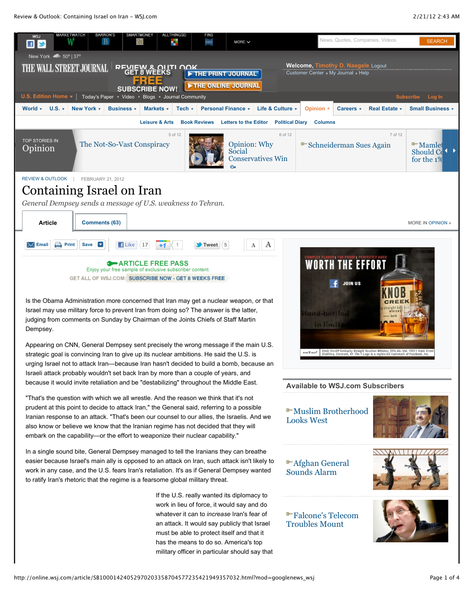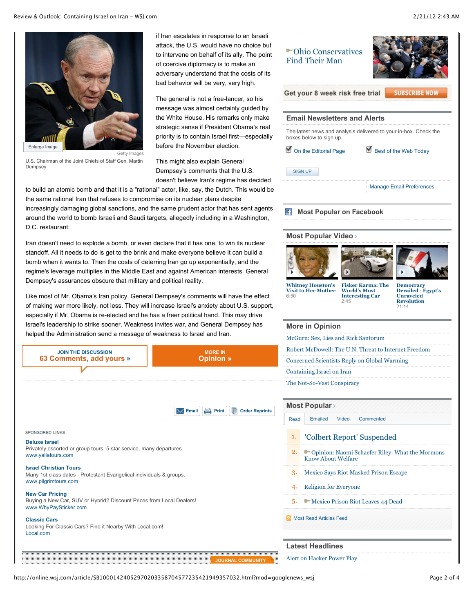### Review & Outlook: Containing Israel on Iran - WSJ.com 2012 1:43 AM 2021/12 2:43 AM 2021/12 2:43 AM



U.S. Chairman of the Joint Chiefs of Staff Gen. Martin Dempsey

if Iran escalates in response to an Israeli attack, the U.S. would have no choice but to intervene on behalf of its ally. The point of coercive diplomacy is to make an adversary understand that the costs of its bad behavior will be very, very high.

The general is not a free-lancer, so his message was almost certainly guided by the White House. His remarks only make strategic sense if President Obama's real priority is to contain Israel first—especially before the November election.

This might also explain General Dempsey's comments that the U.S. doesn't believe Iran's regime has decided

to build an atomic bomb and that it is a "rational" actor, like, say, the Dutch. This would be the same rational Iran that refuses to compromise on its nuclear plans despite increasingly damaging global sanctions, and the same prudent actor that has sent agents around the world to bomb Israeli and Saudi targets, allegedly including in a Washington, D.C. restaurant.

Iran doesn't need to explode a bomb, or even declare that it has one, to win its nuclear standoff. All it needs to do is get to the brink and make everyone believe it can build a bomb when it wants to. Then the costs of deterring Iran go up exponentially, and the regime's leverage multiplies in the Middle East and against American interests. General Dempsey's assurances obscure that military and political reality.

Like most of Mr. Obama's Iran policy, General Dempsey's comments will have the effect of making war more likely, not less. They will increase Israel's anxiety about U.S. support, especially if Mr. Obama is re-elected and he has a freer political hand. This may drive Israel's leadership to strike sooner. Weakness invites war, and General Dempsey has helped the Administration send a message of weakness to Israel and Iran.

| <b>JOIN THE DISCUSSION</b><br>63 Comments, add yours »                                                                                                                                                                                           | <b>MORE IN</b><br><b>Opinion</b> »                               |                       | <b>Robert McDow</b>                  |  |
|--------------------------------------------------------------------------------------------------------------------------------------------------------------------------------------------------------------------------------------------------|------------------------------------------------------------------|-----------------------|--------------------------------------|--|
|                                                                                                                                                                                                                                                  |                                                                  | <b>Concerned Scie</b> |                                      |  |
|                                                                                                                                                                                                                                                  |                                                                  |                       | <b>Containing Isra</b>               |  |
|                                                                                                                                                                                                                                                  |                                                                  |                       | The Not-So-Va                        |  |
|                                                                                                                                                                                                                                                  | 喧<br>$\mathsf{K}$ Email<br>$\Box$ Print<br><b>Order Reprints</b> | <b>Most Popul</b>     |                                      |  |
|                                                                                                                                                                                                                                                  |                                                                  | Read                  | Emaile                               |  |
| <b>SPONSORED LINKS</b>                                                                                                                                                                                                                           |                                                                  | 1.                    | 'Colbe                               |  |
| <b>Deluxe Israel</b><br>Privately escorted or group tours, 5-star service, many departures<br>www.yallatours.com<br><b>Israel Christian Tours</b><br>Many 1st class dates - Protestant Evangelical individuals & groups.<br>www.pilgrimtours.com |                                                                  |                       | $\blacksquare$ Opin<br><b>Know A</b> |  |
|                                                                                                                                                                                                                                                  |                                                                  |                       | Mexico                               |  |
| <b>New Car Pricing</b>                                                                                                                                                                                                                           | 4.                                                               | Religion              |                                      |  |
| Buying a New Car, SUV or Hybrid? Discount Prices from Local Dealers!<br>www.WhyPaySticker.com                                                                                                                                                    |                                                                  |                       | $-Mexi$                              |  |
| <b>Classic Cars</b><br>Looking For Classic Cars? Find it Nearby With Local.com!<br>Local.com                                                                                                                                                     |                                                                  |                       | Most Read Ar                         |  |
|                                                                                                                                                                                                                                                  |                                                                  |                       | <b>Latest Head</b>                   |  |
|                                                                                                                                                                                                                                                  | <b>JOURNAL COMMUNITY</b>                                         |                       | <b>Alert on Hacke</b>                |  |
|                                                                                                                                                                                                                                                  |                                                                  |                       |                                      |  |

## Ohio Conservatives Find Their Man Get your 8 week risk free trial **SUBSCRIBE NOW Email Newsletters and Alerts** The latest news and analysis delivered to your in-box. Check the boxes below to sign up. ■ On the Editorial Page Best of the Web Today SIGN UP Manage Email Preferences **Most Popular on Facebook [Most Popular Video](http://online.wsj.com/video-center/most-popular-today.html) Fisker Karma: The Whitney Houston's Democracy Derailed - Egypt's Visit to Her Mother World's Most Interesting Car Unraveled** 6:50 **Revolution**  $2.45$ 21:14 **More in Opinion** McGurn: Sex, Lies and Rick Santorum vell: The U.N. Threat to Internet Freedom entists Reply on Global Warming ael on Iran ast Conspiracy **[Most Popular](http://online.wsj.com/public/page/most_popular.html)** ed [Video](http://online.wsj.com/article/SB10001424052970203358704577235421949357032.html?mod=googlenews_wsj#mostPopular_mostPopularVideo) [Commented](http://online.wsj.com/article/SB10001424052970203358704577235421949357032.html?mod=googlenews_wsj#mostPopular_mostCommented) ert Report' Suspended ion: Naomi Schaefer Riley: What the Mormons **hout Welfare** Says Riot Masked Prison Escape n for Everyone ico Prison Riot Leaves 44 Dead ticles Feed dlines

| .<br>.<br><br>.<br>.<br>.<br>ちょうしゃ ショーマン じょうこうさい きょうしょ<br>.<br>.<br>.<br>.<br>,,,,,,,,,,,,,,,,,,,<br>.<br><br>.<br>.<br>,,,,,,,,,,,,,,,,,,,,,<br>.<br><br>.<br> | COMMUNITY |      |
|-----------------------------------------------------------------------------------------------------------------------------------------------------------------|-----------|------|
| http://online.wsj.com/article/SB10001424052970203358704577235421949357032.html?mod=googlenews_wsj                                                               |           | Page |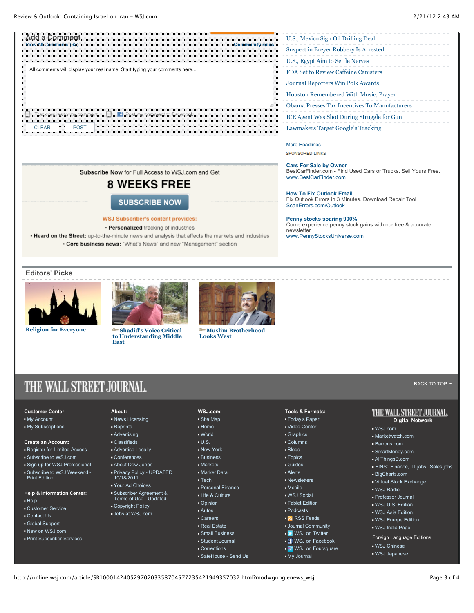



**[Religion for Everyone](http://online.wsj.com/article/SB10001424052970204883304577221603720817864.html?mod=WSJ_hp_editorsPicks_1) Shadid's Voice Critical**



**to Understanding Middle East**



**Muslim Brotherhood Looks West**

# THE WALL STREET JOURNAL.

#### **Customer Center:**

- My Account
- My Subscriptions
- 

#### **Create an Account:**

- Register for Limited Access
- Subscribe to WSJ.com
- Sign up for WSJ Professional
- Subscribe to WSJ Weekend -
- Print Edition

#### **Help & Information Center:**

- Help
- Customer Service
- Contact Us
- Global Support
- New on WSJ.com
- Print Subscriber Services

#### **About:**

- News Licensing
- Reprints
- Advertising Classifieds
- Advertise Locally
- Conferences
- About Dow Jones
- Privacy Policy UPDATED 10/18/2011
- Your Ad Choices
- Subscriber Agreement & Terms of Use Updated
- Copyright Policy Jobs at WSJ.com
	-
- Autos Careers Real Estate

**WSJ.com:** Site Map Home World  $U.S.$ New York Business Markets Market Data Tech

Small Business

Personal Finance Life & Culture Opinion

- 
- Student Journal
- Corrections
- SafeHouse Send Us

#### **Tools & Formats:**

- Today's Paper
- Video Center
- 
- 
- 
- 
- 
- Alerts
- **Newsletters**
- Mobile
- WSJ Social
- Tablet Edition
- Podcasts
- **N** [RSS Feeds](http://online.wsj.com/rss?mod=WSJ_footer)
- Journal Community
- **v** [WSJ on Twitter](http://online.wsj.com/public/page/twitter.html?mod=WSJ_footer)
- **E** [WSJ on Facebook](http://www.facebook.com/wsj)
- **M** [WSJ on Foursquare](http://online.wsj.com/foursquare?mod=WSJ_footer)
- My Journal

- THE WALL STREET JOURNAL. **Digital Network**
- WSJ.com
- Marketwatch.com
- 
- Barrons.com
- SmartMoney.com
- AllThingsD.com
	- [FINS:](http://www.fins.com/?mod=WSJ_footer) [Finance,](http://www.fins.com/finance/?mod=WSJ_footer) [IT jobs,](http://it-jobs.fins.com/?mod=WSJ_footer) [Sales jobs](http://sales-jobs.fins.com/?mod=WSJ_footer)
- BigCharts.com
- Virtual Stock Exchange
- WSJ Radio
- Professor Journal
- WSJ U.S. Edition
- WSJ Asia Edition
- WSJ Europe Edition
- WSJ India Page
- Foreign Language Editions:
- WSJ Chinese
- WSJ Japanese
- [BACK TO TOP](http://online.wsj.com/article/SB10001424052970203358704577235421949357032.html?mod=googlenews_wsj#top)  $\triangle$
- 
- 
- 
- Graphics
- Columns
- Blogs
- Topics
- Guides
- -
- 
-